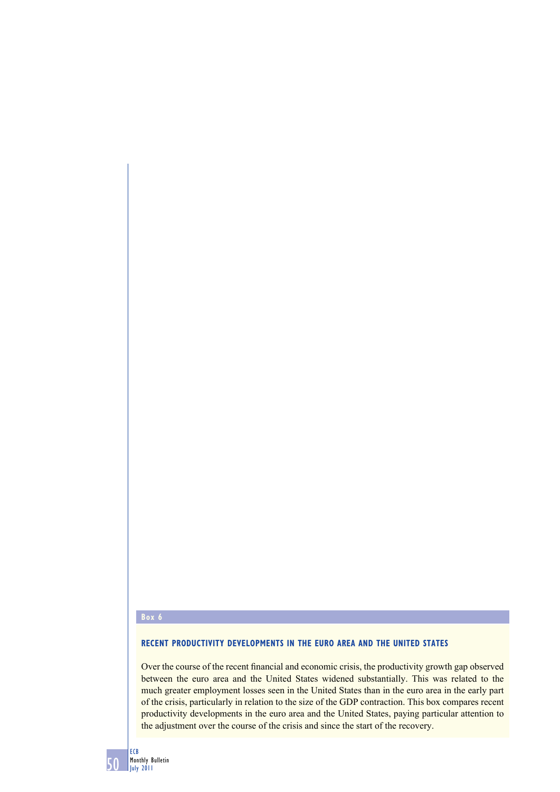# **Box 6**

# **RECENT PRODUCTIVITY DEVELOPMENTS IN THE EURO AREA AND THE UNITED STATES**

Over the course of the recent financial and economic crisis, the productivity growth gap observed between the euro area and the United States widened substantially. This was related to the much greater employment losses seen in the United States than in the euro area in the early part of the crisis, particularly in relation to the size of the GDP contraction. This box compares recent productivity developments in the euro area and the United States, paying particular attention to the adjustment over the course of the crisis and since the start of the recovery.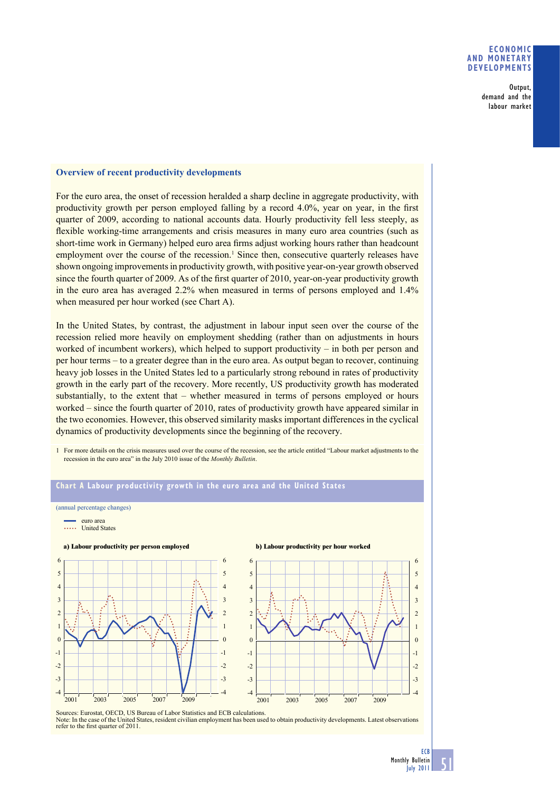### **ECONOMIC AND MONETARY DEVELOPMENTS**

Output, demand and the labour market

#### **Overview of recent productivity developments**

For the euro area, the onset of recession heralded a sharp decline in aggregate productivity, with productivity growth per person employed falling by a record  $4.0\%$ , year on year, in the first quarter of 2009, according to national accounts data. Hourly productivity fell less steeply, as flexible working-time arrangements and crisis measures in many euro area countries (such as short-time work in Germany) helped euro area firms adjust working hours rather than headcount employment over the course of the recession.<sup>1</sup> Since then, consecutive quarterly releases have shown ongoing improvements in productivity growth, with positive year-on-year growth observed since the fourth quarter of 2009. As of the first quarter of 2010, year-on-year productivity growth in the euro area has averaged 2.2% when measured in terms of persons employed and 1.4% when measured per hour worked (see Chart A).

In the United States, by contrast, the adjustment in labour input seen over the course of the recession relied more heavily on employment shedding (rather than on adjustments in hours worked of incumbent workers), which helped to support productivity – in both per person and per hour terms – to a greater degree than in the euro area. As output began to recover, continuing heavy job losses in the United States led to a particularly strong rebound in rates of productivity growth in the early part of the recovery. More recently, US productivity growth has moderated substantially, to the extent that – whether measured in terms of persons employed or hours worked – since the fourth quarter of 2010, rates of productivity growth have appeared similar in the two economies. However, this observed similarity masks important differences in the cyclical dynamics of productivity developments since the beginning of the recovery.

1 For more details on the crisis measures used over the course of the recession, see the article entitled "Labour market adjustments to the recession in the euro area" in the July 2010 issue of the *Monthly Bulletin*.

#### **Chart A Labour productivity growth in the euro area and the United States** (annual percentage changes) euro area ..... United States **a) Labour productivity per person employed b) Labour productivity per hour worked** -4 -3 -2 -1  $\Omega$ 1 2 3 4 5 6 -4 -3 -2 -1 0 1 2 3 4 5 6 2001 2003 2005 2007 2009 -4 -3 -2 -1  $\theta$ 1 2 3 4 5 6 -4 -3 -2 -1  $\Omega$ 1 2 3 4 5 6 2001 2003 2005 2007 2009

Sources: Eurostat, OECD, US Bureau of Labor Statistics and ECB calculations. Note: In the case of the United States, resident civilian employment has been used to obtain productivity developments. Latest observations refer to the first quarter of 2011.



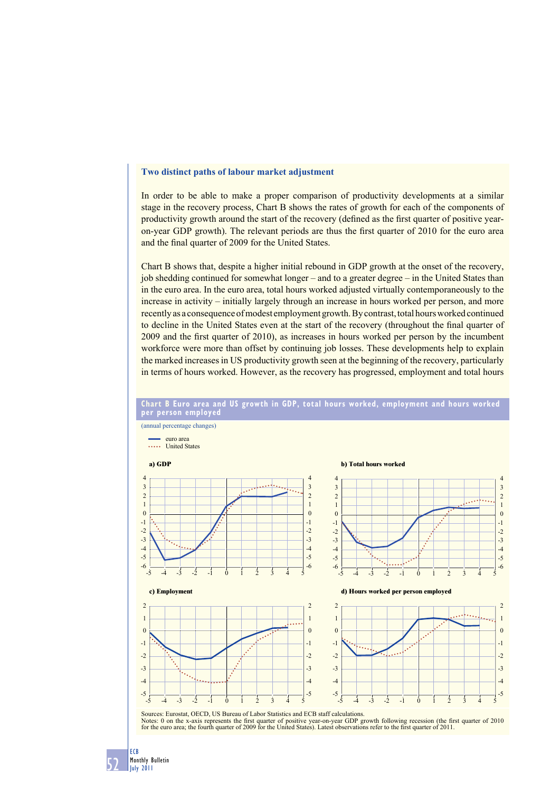# **Two distinct paths of labour market adjustment**

In order to be able to make a proper comparison of productivity developments at a similar stage in the recovery process, Chart B shows the rates of growth for each of the components of productivity growth around the start of the recovery (defined as the first quarter of positive yearon-year GDP growth). The relevant periods are thus the first quarter of 2010 for the euro area and the final quarter of 2009 for the United States.

Chart B shows that, despite a higher initial rebound in GDP growth at the onset of the recovery, job shedding continued for somewhat longer – and to a greater degree – in the United States than in the euro area. In the euro area, total hours worked adjusted virtually contemporaneously to the increase in activity – initially largely through an increase in hours worked per person, and more recently as a consequence of modest employment growth. By contrast, total hours worked continued to decline in the United States even at the start of the recovery (throughout the final quarter of 2009 and the first quarter of 2010), as increases in hours worked per person by the incumbent workforce were more than offset by continuing job losses. These developments help to explain the marked increases in US productivity growth seen at the beginning of the recovery, particularly in terms of hours worked. However, as the recovery has progressed, employment and total hours



**Chart B Euro area and US growth in GDP, total hours worked, employment and hours worked per person employed**

52